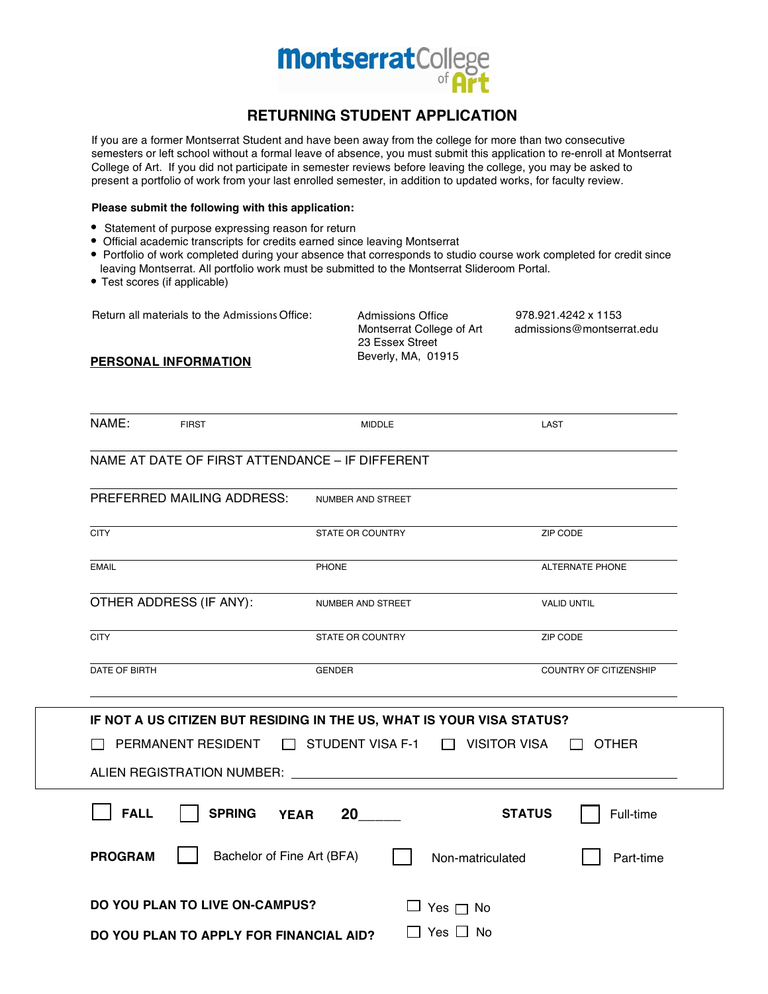

## **RETURNING STUDENT APPLICATION**

If you are a former Montserrat Student and have been away from the college for more than two consecutive semesters or left school without a formal leave of absence, you must submit this application to re-enroll at Montserrat College of Art. If you did not participate in semester reviews before leaving the college, you may be asked to present a portfolio of work from your last enrolled semester, in addition to updated works, for faculty review.

## **Please submit the following with this application:**

- Statement of purpose expressing reason for return
- Official academic transcripts for credits earned since leaving Montserrat
- Portfolio of work completed during your absence that corresponds to studio course work completed for credit since leaving Montserrat. All portfolio work must be submitted to the Montserrat Slideroom Portal.
- Test scores (if applicable)

Return all materials to the Admissions Office: 978.921.4242 x 1153 admissions@montserrat.edu Admissions Office Montserrat College of Art 23 Essex Street **PERSONAL INFORMATION** Beverly, MA, 01915

| NAME:          | <b>FIRST</b>                                    | <b>MIDDLE</b>                                                                                                        | LAST                          |
|----------------|-------------------------------------------------|----------------------------------------------------------------------------------------------------------------------|-------------------------------|
|                | NAME AT DATE OF FIRST ATTENDANCE - IF DIFFERENT |                                                                                                                      |                               |
|                | PREFERRED MAILING ADDRESS:                      | NUMBER AND STREET                                                                                                    |                               |
| <b>CITY</b>    |                                                 | STATE OR COUNTRY                                                                                                     | ZIP CODE                      |
| <b>EMAIL</b>   |                                                 | <b>PHONE</b>                                                                                                         | <b>ALTERNATE PHONE</b>        |
|                | OTHER ADDRESS (IF ANY):                         | NUMBER AND STREET                                                                                                    | <b>VALID UNTIL</b>            |
| <b>CITY</b>    |                                                 | <b>STATE OR COUNTRY</b>                                                                                              | ZIP CODE                      |
| DATE OF BIRTH  |                                                 | <b>GENDER</b>                                                                                                        | <b>COUNTRY OF CITIZENSHIP</b> |
|                | PERMANENT RESIDENT                              | IF NOT A US CITIZEN BUT RESIDING IN THE US, WHAT IS YOUR VISA STATUS?<br>$\Box$ STUDENT VISA F-1 $\Box$ VISITOR VISA | OTHER                         |
| <b>FALL</b>    | <b>SPRING</b>                                   | 20<br><b>YEAR</b>                                                                                                    | <b>STATUS</b><br>Full-time    |
| <b>PROGRAM</b> | Bachelor of Fine Art (BFA)                      |                                                                                                                      | Non-matriculated<br>Part-time |
|                | <b>DO YOU PLAN TO LIVE ON-CAMPUS?</b>           |                                                                                                                      | $\Box$ Yes $\Box$ No          |
|                | DO YOU PLAN TO APPLY FOR FINANCIAL AID?         |                                                                                                                      | Yes $\Box$ No                 |